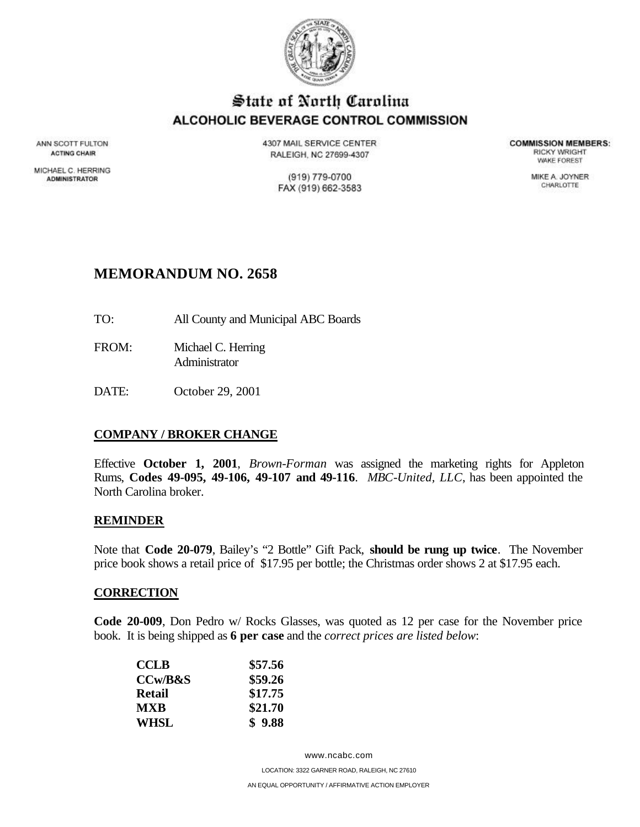

# State of North Carolina ALCOHOLIC BEVERAGE CONTROL COMMISSION

ANN SCOTT FULTON **ACTING CHAIR** 

MICHAEL C. HERRING **ADMINISTRATOR** 

4307 MAIL SERVICE CENTER RALEIGH, NC 27699-4307

> (919) 779-0700 FAX (919) 662-3583

**COMMISSION MEMBERS: RICKY WRIGHT** *VIAKE FOREST* 

> MIKE A. JOYNER CHARLOTTE

# **MEMORANDUM NO. 2658**

- TO: All County and Municipal ABC Boards
- FROM: Michael C. Herring **Administrator**
- DATE: October 29, 2001

# **COMPANY / BROKER CHANGE**

Effective **October 1, 2001**, *Brown-Forman* was assigned the marketing rights for Appleton Rums, **Codes 49-095, 49-106, 49-107 and 49-116**. *MBC-United, LLC*, has been appointed the North Carolina broker.

#### **REMINDER**

Note that **Code 20-079**, Bailey's "2 Bottle" Gift Pack, **should be rung up twice**. The November price book shows a retail price of \$17.95 per bottle; the Christmas order shows 2 at \$17.95 each.

#### **CORRECTION**

**Code 20-009**, Don Pedro w/ Rocks Glasses, was quoted as 12 per case for the November price book. It is being shipped as **6 per case** and the *correct prices are listed below*:

| CCLB    | \$57.56 |
|---------|---------|
| CCw/B&S | \$59.26 |
| Retail  | \$17.75 |
| MXR     | \$21.70 |
| WHSL.   | \$9.88  |

www.ncabc.com LOCATION: 3322 GARNER ROAD, RALEIGH, NC 27610 AN EQUAL OPPORTUNITY / AFFIRMATIVE ACTION EMPLOYER